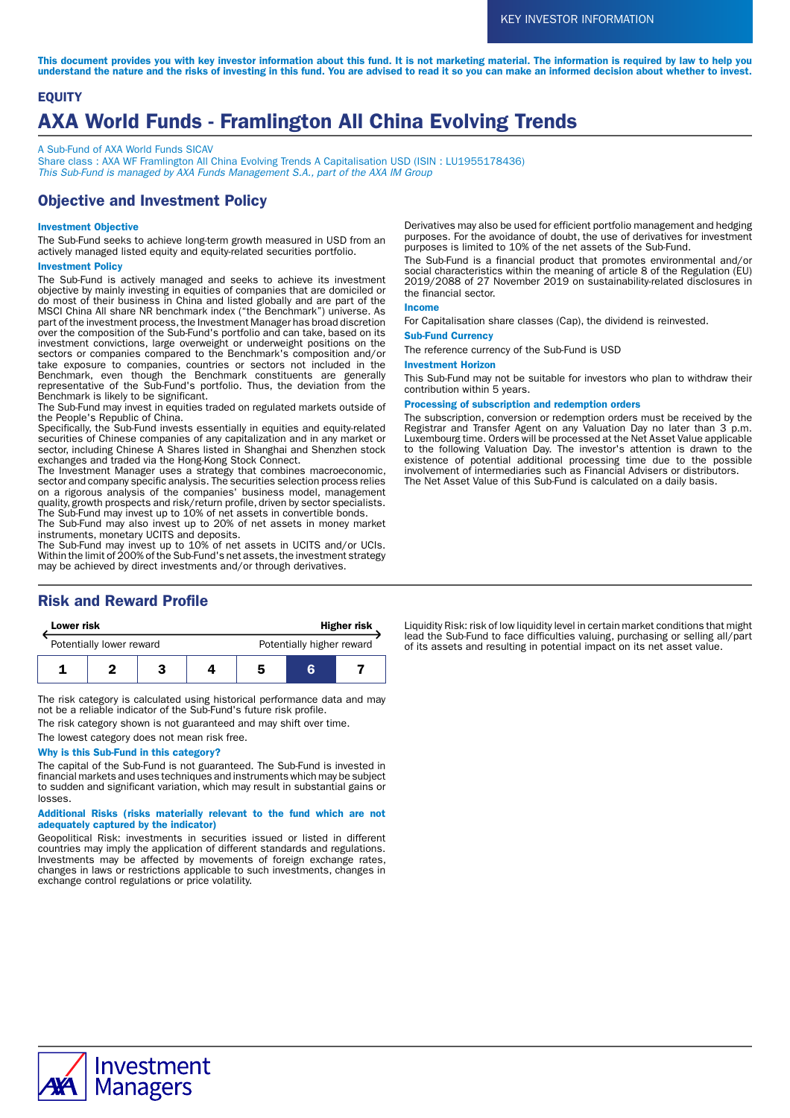This document provides you with key investor information about this fund. It is not marketing material. The information is required by law to help you understand the nature and the risks of investing in this fund. You are advised to read it so you can make an informed decision about whether to invest.

# **EQUITY** AXA World Funds - Framlington All China Evolving Trends

A Sub-Fund of AXA World Funds SICAV

Share class : AXA WF Framlington All China Evolving Trends A Capitalisation USD (ISIN : LU1955178436) This Sub-Fund is managed by AXA Funds Management S.A., part of the AXA IM Group

# Objective and Investment Policy

### Investment Objective

The Sub-Fund seeks to achieve long-term growth measured in USD from an actively managed listed equity and equity-related securities portfolio.

#### Investment Policy

The Sub-Fund is actively managed and seeks to achieve its investment objective by mainly investing in equities of companies that are domiciled or do most of their business in China and listed globally and are part of the MSCI China All share NR benchmark index ("the Benchmark") universe. As part of the investment process, the Investment Manager has broad discretion over the composition of the Sub-Fund's portfolio and can take, based on its investment convictions, large overweight or underweight positions on the sectors or companies compared to the Benchmark's composition and/or take exposure to companies, countries or sectors not included in the Benchmark, even though the Benchmark constituents are generally representative of the Sub-Fund's portfolio. Thus, the deviation from the Benchmark is likely to be significant.

The Sub-Fund may invest in equities traded on regulated markets outside of the People's Republic of China.

Specifically, the Sub-Fund invests essentially in equities and equity-related securities of Chinese companies of any capitalization and in any market or sector, including Chinese A Shares listed in Shanghai and Shenzhen stock exchanges and traded via the Hong-Kong Stock Connect.

The Investment Manager uses a strategy that combines macroeconomic, sector and company specific analysis. The securities selection process relies on a rigorous analysis of the companies' business model, management quality, growth prospects and risk/return profile, driven by sector specialists. The Sub-Fund may invest up to 10% of net assets in convertible bonds.

The Sub-Fund may also invest up to 20% of net assets in money market instruments, monetary UCITS and deposits.

The Sub-Fund may invest up to 10% of net assets in UCITS and/or UCIs. Within the limit of 200% of the Sub-Fund's net assets, the investment strategy may be achieved by direct investments and/or through derivatives.

# Risk and Reward Profile

| Lower risk               |  |  |  | <b>Higher risk</b>        |   |  |
|--------------------------|--|--|--|---------------------------|---|--|
| Potentially lower reward |  |  |  | Potentially higher reward |   |  |
|                          |  |  |  | 5                         | к |  |

The risk category is calculated using historical performance data and may not be a reliable indicator of the Sub-Fund's future risk profile.

The risk category shown is not guaranteed and may shift over time.

The lowest category does not mean risk free.

#### Why is this Sub-Fund in this category?

The capital of the Sub-Fund is not guaranteed. The Sub-Fund is invested in financial markets and uses techniques and instruments which may be subject to sudden and significant variation, which may result in substantial gains or losses.

#### Additional Risks (risks materially relevant to the fund which are not adequately captured by the indicator)

Geopolitical Risk: investments in securities issued or listed in different countries may imply the application of different standards and regulations. Investments may be affected by movements of foreign exchange rates, changes in laws or restrictions applicable to such investments, changes in exchange control regulations or price volatility.

Derivatives may also be used for efficient portfolio management and hedging purposes. For the avoidance of doubt, the use of derivatives for investment purposes is limited to 10% of the net assets of the Sub-Fund.

The Sub-Fund is a financial product that promotes environmental and/or social characteristics within the meaning of article 8 of the Regulation (EU) 2019/2088 of 27 November 2019 on sustainability-related disclosures in the financial sector.

#### Income

For Capitalisation share classes (Cap), the dividend is reinvested.

### Sub-Fund Currency

The reference currency of the Sub-Fund is USD

#### Investment Horizon

This Sub-Fund may not be suitable for investors who plan to withdraw their contribution within 5 years.

#### Processing of subscription and redemption orders

The subscription, conversion or redemption orders must be received by the Registrar and Transfer Agent on any Valuation Day no later than 3 p.m. Luxembourg time. Orders will be processed at the Net Asset Value applicable to the following Valuation Day. The investor's attention is drawn to the existence of potential additional processing time due to the possible involvement of intermediaries such as Financial Advisers or distributors. The Net Asset Value of this Sub-Fund is calculated on a daily basis.

Liquidity Risk: risk of low liquidity level in certain market conditions that might lead the Sub-Fund to face difficulties valuing, purchasing or selling all/part of its assets and resulting in potential impact on its net asset value.